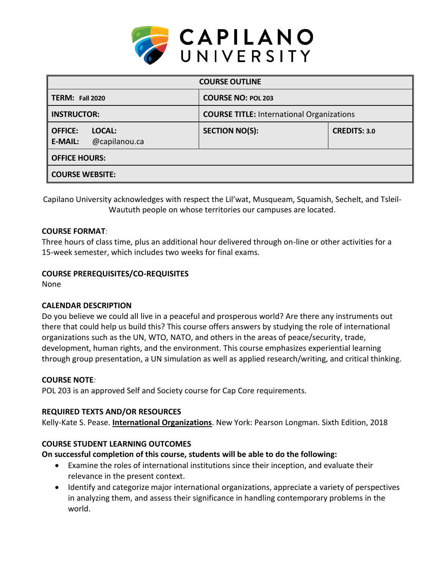

| <b>COURSE OUTLINE</b>                                       |                                                  |                     |  |  |  |
|-------------------------------------------------------------|--------------------------------------------------|---------------------|--|--|--|
| <b>TERM: Fall 2020</b>                                      | <b>COURSE NO: POL 203</b>                        |                     |  |  |  |
| <b>INSTRUCTOR:</b>                                          | <b>COURSE TITLE: International Organizations</b> |                     |  |  |  |
| <b>OFFICE:</b><br>LOCAL:<br>@capilanou.ca<br><b>E-MAIL:</b> | <b>SECTION NO(S):</b>                            | <b>CREDITS: 3.0</b> |  |  |  |
| <b>OFFICE HOURS:</b>                                        |                                                  |                     |  |  |  |
| <b>COURSE WEBSITE:</b>                                      |                                                  |                     |  |  |  |

Capilano University acknowledges with respect the Lil'wat, Musqueam, Squamish, Sechelt, and Tsleil-Waututh people on whose territories our campuses are located.

### **COURSE FORMAT**:

Three hours of class time, plus an additional hour delivered through on-line or other activities for a 15-week semester, which includes two weeks for final exams.

### **COURSE PREREQUISITES/CO-REQUISITES**

None

### **CALENDAR DESCRIPTION**

Do you believe we could all live in a peaceful and prosperous world? Are there any instruments out there that could help us build this? This course offers answers by studying the role of international organizations such as the UN, WTO, NATO, and others in the areas of peace/security, trade, development, human rights, and the environment. This course emphasizes experiential learning through group presentation, a UN simulation as well as applied research/writing, and critical thinking.

### **COURSE NOTE***:*

POL 203 is an approved Self and Society course for Cap Core requirements.

### **REQUIRED TEXTS AND/OR RESOURCES**

Kelly-Kate S. Pease. **International Organizations**. New York: Pearson Longman. Sixth Edition, 2018

### **COURSE STUDENT LEARNING OUTCOMES**

### **On successful completion of this course, students will be able to do the following:**

- Examine the roles of international institutions since their inception, and evaluate their relevance in the present context.
- Identify and categorize major international organizations, appreciate a variety of perspectives in analyzing them, and assess their significance in handling contemporary problems in the world.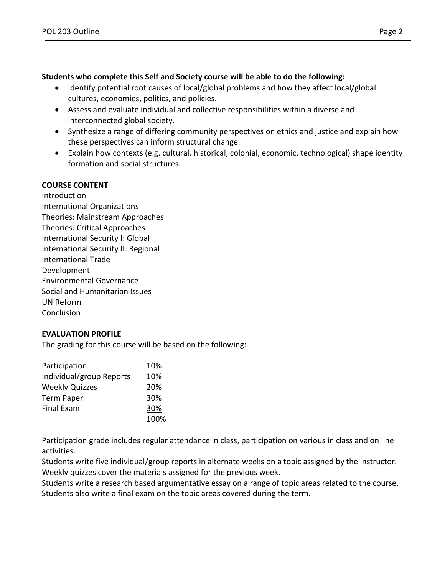## **Students who complete this Self and Society course will be able to do the following:**

- Identify potential root causes of local/global problems and how they affect local/global cultures, economies, politics, and policies.
- Assess and evaluate individual and collective responsibilities within a diverse and interconnected global society.
- Synthesize a range of differing community perspectives on ethics and justice and explain how these perspectives can inform structural change.
- Explain how contexts (e.g. cultural, historical, colonial, economic, technological) shape identity formation and social structures.

# **COURSE CONTENT**

Introduction International Organizations Theories: Mainstream Approaches Theories: Critical Approaches International Security I: Global International Security II: Regional International Trade Development Environmental Governance Social and Humanitarian Issues UN Reform **Conclusion** 

### **EVALUATION PROFILE**

The grading for this course will be based on the following:

| Participation            | 10%  |
|--------------------------|------|
| Individual/group Reports | 10%  |
| <b>Weekly Quizzes</b>    | 20%  |
| <b>Term Paper</b>        | 30%  |
| <b>Final Exam</b>        | 30%  |
|                          | 100% |

Participation grade includes regular attendance in class, participation on various in class and on line activities.

Students write five individual/group reports in alternate weeks on a topic assigned by the instructor. Weekly quizzes cover the materials assigned for the previous week.

Students write a research based argumentative essay on a range of topic areas related to the course. Students also write a final exam on the topic areas covered during the term.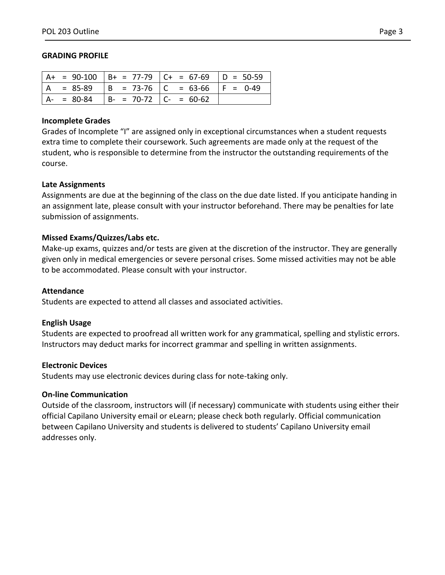#### **GRADING PROFILE**

|             |                           | A+ = 90-100   B+ = 77-79   C+ = 67-69   D = 50-59 |  |
|-------------|---------------------------|---------------------------------------------------|--|
| $= 85-89$   |                           | $ B = 73-76$ $ C = 63-66$ $ F = 0-49$             |  |
| $A - 80-84$ | $  B - 70-72   C - 60-62$ |                                                   |  |

#### **Incomplete Grades**

Grades of Incomplete "I" are assigned only in exceptional circumstances when a student requests extra time to complete their coursework. Such agreements are made only at the request of the student, who is responsible to determine from the instructor the outstanding requirements of the course.

#### **Late Assignments**

Assignments are due at the beginning of the class on the due date listed. If you anticipate handing in an assignment late, please consult with your instructor beforehand. There may be penalties for late submission of assignments.

### **Missed Exams/Quizzes/Labs etc.**

Make-up exams, quizzes and/or tests are given at the discretion of the instructor. They are generally given only in medical emergencies or severe personal crises. Some missed activities may not be able to be accommodated. Please consult with your instructor.

#### **Attendance**

Students are expected to attend all classes and associated activities.

### **English Usage**

Students are expected to proofread all written work for any grammatical, spelling and stylistic errors. Instructors may deduct marks for incorrect grammar and spelling in written assignments.

### **Electronic Devices**

Students may use electronic devices during class for note-taking only.

### **On-line Communication**

Outside of the classroom, instructors will (if necessary) communicate with students using either their official Capilano University email or eLearn; please check both regularly. Official communication between Capilano University and students is delivered to students' Capilano University email addresses only.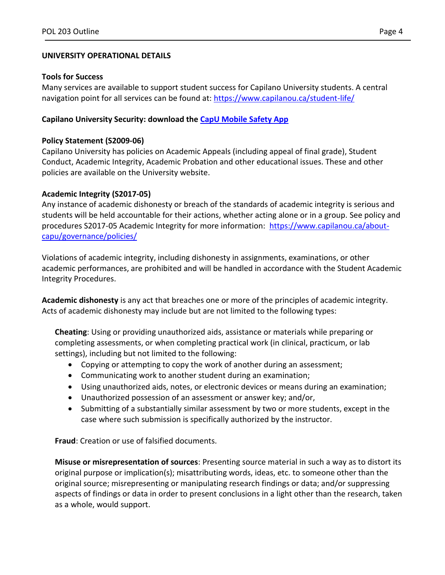# **UNIVERSITY OPERATIONAL DETAILS**

### **Tools for Success**

Many services are available to support student success for Capilano University students. A central navigation point for all services can be found at:<https://www.capilanou.ca/student-life/>

## **Capilano University Security: download the [CapU Mobile Safety App](https://www.capilanou.ca/student-life/support--wellness/safety--security/capu-safe-app/)**

## **Policy Statement (S2009-06)**

Capilano University has policies on Academic Appeals (including appeal of final grade), Student Conduct, Academic Integrity, Academic Probation and other educational issues. These and other policies are available on the University website.

### **Academic Integrity (S2017-05)**

Any instance of academic dishonesty or breach of the standards of academic integrity is serious and students will be held accountable for their actions, whether acting alone or in a group. See policy and procedures S2017-05 Academic Integrity for more information: [https://www.capilanou.ca/about](https://www.capilanou.ca/about-capu/governance/policies/)[capu/governance/policies/](https://www.capilanou.ca/about-capu/governance/policies/)

Violations of academic integrity, including dishonesty in assignments, examinations, or other academic performances, are prohibited and will be handled in accordance with the Student Academic Integrity Procedures.

**Academic dishonesty** is any act that breaches one or more of the principles of academic integrity. Acts of academic dishonesty may include but are not limited to the following types:

**Cheating**: Using or providing unauthorized aids, assistance or materials while preparing or completing assessments, or when completing practical work (in clinical, practicum, or lab settings), including but not limited to the following:

- Copying or attempting to copy the work of another during an assessment;
- Communicating work to another student during an examination;
- Using unauthorized aids, notes, or electronic devices or means during an examination;
- Unauthorized possession of an assessment or answer key; and/or,
- Submitting of a substantially similar assessment by two or more students, except in the case where such submission is specifically authorized by the instructor.

**Fraud**: Creation or use of falsified documents.

**Misuse or misrepresentation of sources**: Presenting source material in such a way as to distort its original purpose or implication(s); misattributing words, ideas, etc. to someone other than the original source; misrepresenting or manipulating research findings or data; and/or suppressing aspects of findings or data in order to present conclusions in a light other than the research, taken as a whole, would support.